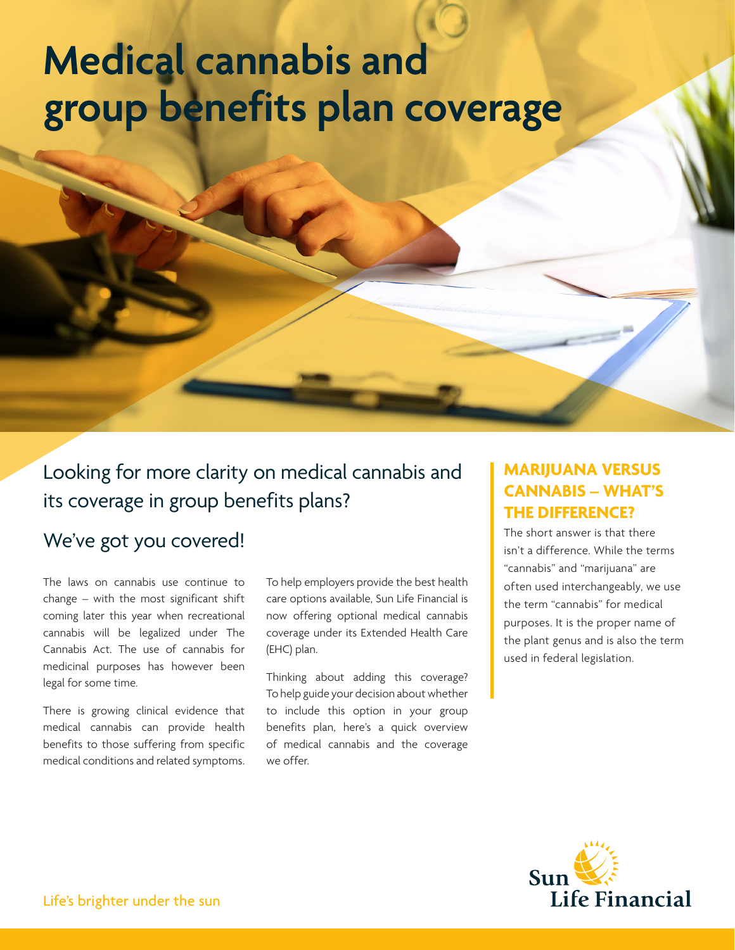# **group benefits plan coverage Medical cannabis and**

Looking for more clarity on medical cannabis and its coverage in group benefits plans?

# We've got you covered!

The laws on cannabis use continue to change – with the most significant shift coming later this year when recreational cannabis will be legalized under The Cannabis Act. The use of cannabis for medicinal purposes has however been legal for some time.

There is growing clinical evidence that medical cannabis can provide health benefits to those suffering from specific medical conditions and related symptoms.

To help employers provide the best health care options available, Sun Life Financial is now offering optional medical cannabis coverage under its Extended Health Care (EHC) plan.

Thinking about adding this coverage? To help guide your decision about whether to include this option in your group benefits plan, here's a quick overview of medical cannabis and the coverage we offer.

# **MARIJUANA VERSUS CANNABIS – WHAT'S THE DIFFERENCE?**

The short answer is that there isn't a difference. While the terms "cannabis" and "marijuana" are often used interchangeably, we use the term "cannabis" for medical purposes. It is the proper name of the plant genus and is also the term used in federal legislation.